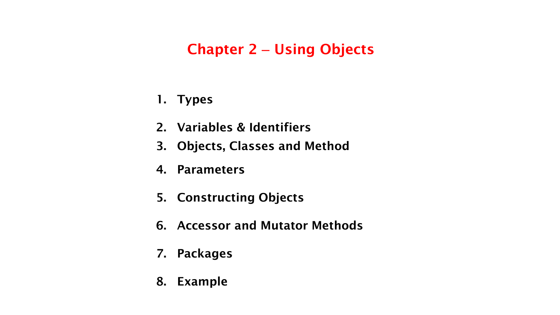## **Chapter 2** – **Using Objects**

- **1. Types**
- **2. Variables & Identifiers**
- **3. Objects, Classes and Method**
- **4. Parameters**
- **5. Constructing Objects**
- **6. Accessor and Mutator Methods**
- **7. Packages**
- **8. Example**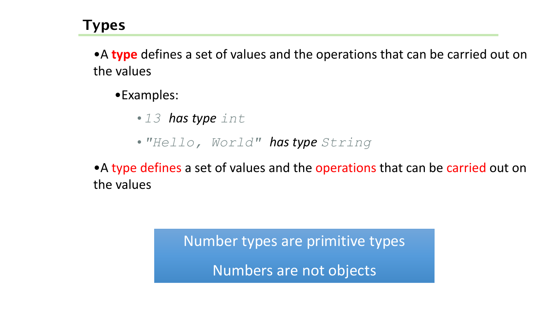•A **type** defines a set of values and the operations that can be carried out on the values

•Examples:

•*13 has type int*

•*"Hello, World" has type String*

• A type defines a set of values and the operations that can be carried out on the values

> Number types are primitive types Numbers are not objects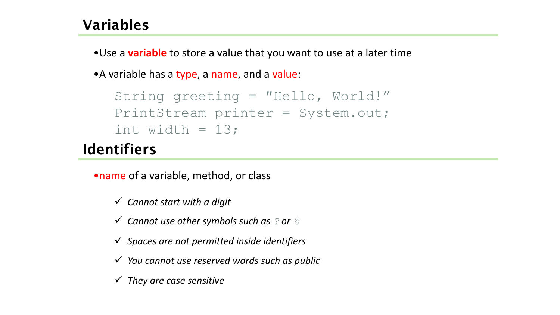### **Variables**

•Use a **variable** to store a value that you want to use at a later time

• A variable has a type, a name, and a value:

```
String greeting = "Hello, World!"
PrintStream printer = System.out;
int width = 13;
```
## **Identifiers**

•name of a variable, method, or class

- *Cannot start with a digit*
- *Cannot use other symbols such as ? or %*
- *Spaces are not permitted inside identifiers*
- *You cannot use reserved words such as public*
- *They are case sensitive*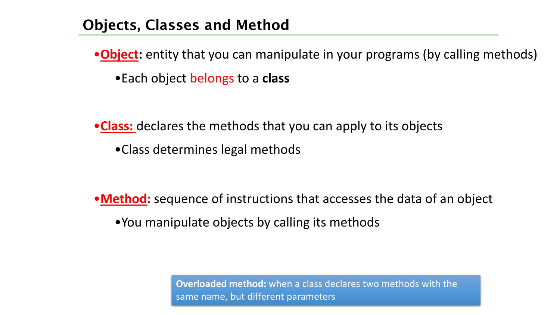### **Objects, Classes and Method**

•**Object:** entity that you can manipulate in your programs (by calling methods) •Each object belongs to a **class**

•**Class:** declares the methods that you can apply to its objects

•Class determines legal methods

•**Method:** sequence of instructions that accesses the data of an object •You manipulate objects by calling its methods

> **Overloaded method:** when a class declares two methods with the same name, but different parameters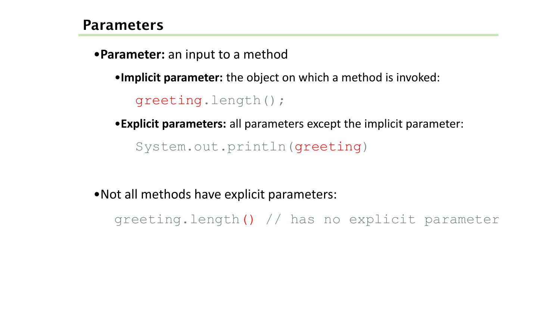•**Parameter:** an input to a method

•**Implicit parameter:** the object on which a method is invoked:

greeting.length();

•**Explicit parameters:** all parameters except the implicit parameter:

System.out.println(greeting)

•Not all methods have explicit parameters:

greeting.length() // has no explicit parameter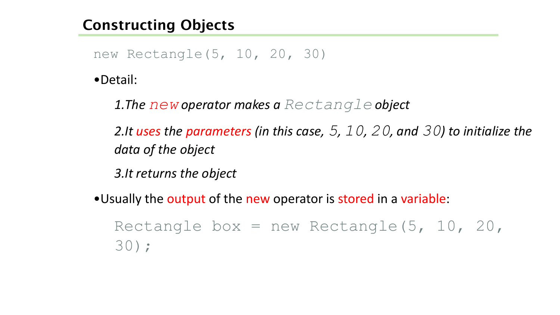## **Constructing Objects**

new Rectangle(5, 10, 20, 30)

•Detail:

*1.The new operator makes a Rectangle object* 

*2.It uses the parameters (in this case, 5, 10, 20, and 30) to initialize the data of the object* 

*3.It returns the object* 

•Usually the output of the new operator is stored in a variable:

Rectangle box = new Rectangle( $5, 10, 20,$ 30);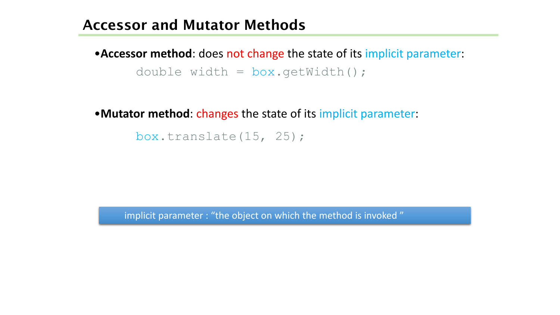#### **Accessor and Mutator Methods**

•**Accessor method**: does not change the state of its implicit parameter: double width = box.getWidth();

•**Mutator method**: changes the state of its implicit parameter:

box.translate(15, 25);

implicit parameter : "the object on which the method is invoked "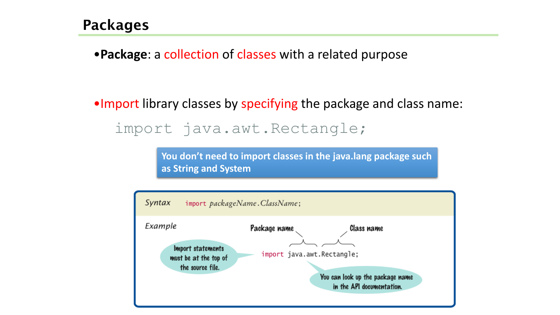•**Package**: a collection of classes with a related purpose

•Import library classes by specifying the package and class name: import java.awt.Rectangle;

> **You don't need to import classes in the java.lang package such as String and System**